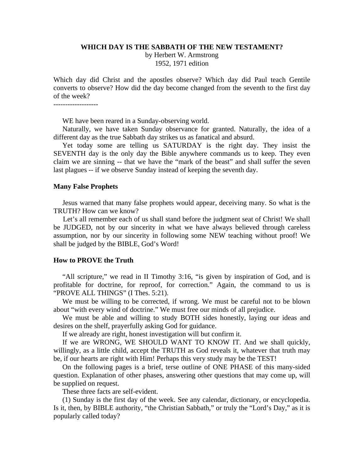#### **WHICH DAY IS THE SABBATH OF THE NEW TESTAMENT?**

by Herbert W. Armstrong 1952, 1971 edition

Which day did Christ and the apostles observe? Which day did Paul teach Gentile converts to observe? How did the day become changed from the seventh to the first day of the week?

WE have been reared in a Sunday-observing world.

 Naturally, we have taken Sunday observance for granted. Naturally, the idea of a different day as the true Sabbath day strikes us as fanatical and absurd.

 Yet today some are telling us SATURDAY is the right day. They insist the SEVENTH day is the only day the Bible anywhere commands us to keep. They even claim we are sinning -- that we have the "mark of the beast" and shall suffer the seven last plagues -- if we observe Sunday instead of keeping the seventh day.

## **Many False Prophets**

 Jesus warned that many false prophets would appear, deceiving many. So what is the TRUTH? How can we know?

 Let's all remember each of us shall stand before the judgment seat of Christ! We shall be JUDGED, not by our sincerity in what we have always believed through careless assumption, nor by our sincerity in following some NEW teaching without proof! We shall be judged by the BIBLE, God's Word!

## **How to PROVE the Truth**

 "All scripture," we read in II Timothy 3:16, "is given by inspiration of God, and is profitable for doctrine, for reproof, for correction." Again, the command to us is "PROVE ALL THINGS" (I Thes. 5:21).

 We must be willing to be corrected, if wrong. We must be careful not to be blown about "with every wind of doctrine." We must free our minds of all prejudice.

 We must be able and willing to study BOTH sides honestly, laying our ideas and desires on the shelf, prayerfully asking God for guidance.

If we already are right, honest investigation will but confirm it.

 If we are WRONG, WE SHOULD WANT TO KNOW IT. And we shall quickly, willingly, as a little child, accept the TRUTH as God reveals it, whatever that truth may be, if our hearts are right with Him! Perhaps this very study may be the TEST!

 On the following pages is a brief, terse outline of ONE PHASE of this many-sided question. Explanation of other phases, answering other questions that may come up, will be supplied on request.

These three facts are self-evident.

 (1) Sunday is the first day of the week. See any calendar, dictionary, or encyclopedia. Is it, then, by BIBLE authority, "the Christian Sabbath," or truly the "Lord's Day," as it is popularly called today?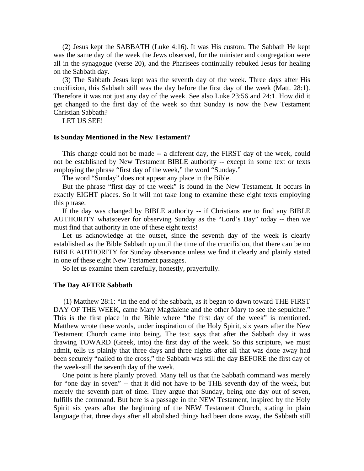(2) Jesus kept the SABBATH (Luke 4:16). It was His custom. The Sabbath He kept was the same day of the week the Jews observed, for the minister and congregation were all in the synagogue (verse 20), and the Pharisees continually rebuked Jesus for healing on the Sabbath day.

 (3) The Sabbath Jesus kept was the seventh day of the week. Three days after His crucifixion, this Sabbath still was the day before the first day of the week (Matt. 28:1). Therefore it was not just any day of the week. See also Luke 23:56 and 24:1. How did it get changed to the first day of the week so that Sunday is now the New Testament Christian Sabbath?

LET US SEE!

## **Is Sunday Mentioned in the New Testament?**

 This change could not be made -- a different day, the FIRST day of the week, could not be established by New Testament BIBLE authority -- except in some text or texts employing the phrase "first day of the week," the word "Sunday."

The word "Sunday" does not appear any place in the Bible.

 But the phrase "first day of the week" is found in the New Testament. It occurs in exactly EIGHT places. So it will not take long to examine these eight texts employing this phrase.

 If the day was changed by BIBLE authority -- if Christians are to find any BIBLE AUTHORITY whatsoever for observing Sunday as the "Lord's Day" today -- then we must find that authority in one of these eight texts!

 Let us acknowledge at the outset, since the seventh day of the week is clearly established as the Bible Sabbath up until the time of the crucifixion, that there can be no BIBLE AUTHORITY for Sunday observance unless we find it clearly and plainly stated in one of these eight New Testament passages.

So let us examine them carefully, honestly, prayerfully.

# **The Day AFTER Sabbath**

 (1) Matthew 28:1: "In the end of the sabbath, as it began to dawn toward THE FIRST DAY OF THE WEEK, came Mary Magdalene and the other Mary to see the sepulchre." This is the first place in the Bible where "the first day of the week" is mentioned. Matthew wrote these words, under inspiration of the Holy Spirit, six years after the New Testament Church came into being. The text says that after the Sabbath day it was drawing TOWARD (Greek, into) the first day of the week. So this scripture, we must admit, tells us plainly that three days and three nights after all that was done away had been securely "nailed to the cross," the Sabbath was still the day BEFORE the first day of the week-still the seventh day of the week.

 One point is here plainly proved. Many tell us that the Sabbath command was merely for "one day in seven" -- that it did not have to be THE seventh day of the week, but merely the seventh part of time. They argue that Sunday, being one day out of seven, fulfills the command. But here is a passage in the NEW Testament, inspired by the Holy Spirit six years after the beginning of the NEW Testament Church, stating in plain language that, three days after all abolished things had been done away, the Sabbath still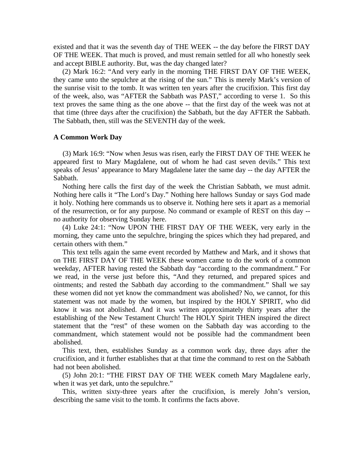existed and that it was the seventh day of THE WEEK -- the day before the FIRST DAY OF THE WEEK. That much is proved, and must remain settled for all who honestly seek and accept BIBLE authority. But, was the day changed later?

 (2) Mark 16:2: "And very early in the morning THE FIRST DAY OF THE WEEK, they came unto the sepulchre at the rising of the sun." This is merely Mark's version of the sunrise visit to the tomb. It was written ten years after the crucifixion. This first day of the week, also, was "AFTER the Sabbath was PAST," according to verse 1. So this text proves the same thing as the one above -- that the first day of the week was not at that time (three days after the crucifixion) the Sabbath, but the day AFTER the Sabbath. The Sabbath, then, still was the SEVENTH day of the week.

# **A Common Work Day**

 (3) Mark 16:9: "Now when Jesus was risen, early the FIRST DAY OF THE WEEK he appeared first to Mary Magdalene, out of whom he had cast seven devils." This text speaks of Jesus' appearance to Mary Magdalene later the same day -- the day AFTER the Sabbath.

 Nothing here calls the first day of the week the Christian Sabbath, we must admit. Nothing here calls it "The Lord's Day." Nothing here hallows Sunday or says God made it holy. Nothing here commands us to observe it. Nothing here sets it apart as a memorial of the resurrection, or for any purpose. No command or example of REST on this day - no authority for observing Sunday here.

 (4) Luke 24:1: "Now UPON THE FIRST DAY OF THE WEEK, very early in the morning, they came unto the sepulchre, bringing the spices which they had prepared, and certain others with them."

 This text tells again the same event recorded by Matthew and Mark, and it shows that on THE FIRST DAY OF THE WEEK these women came to do the work of a common weekday, AFTER having rested the Sabbath day "according to the commandment." For we read, in the verse just before this, "And they returned, and prepared spices and ointments; and rested the Sabbath day according to the commandment." Shall we say these women did not yet know the commandment was abolished? No, we cannot, for this statement was not made by the women, but inspired by the HOLY SPIRIT, who did know it was not abolished. And it was written approximately thirty years after the establishing of the New Testament Church! The HOLY Spirit THEN inspired the direct statement that the "rest" of these women on the Sabbath day was according to the commandment, which statement would not be possible had the commandment been abolished.

 This text, then, establishes Sunday as a common work day, three days after the crucifixion, and it further establishes that at that time the command to rest on the Sabbath had not been abolished.

 (5) John 20:1: "THE FIRST DAY OF THE WEEK cometh Mary Magdalene early, when it was yet dark, unto the sepulchre."

 This, written sixty-three years after the crucifixion, is merely John's version, describing the same visit to the tomb. It confirms the facts above.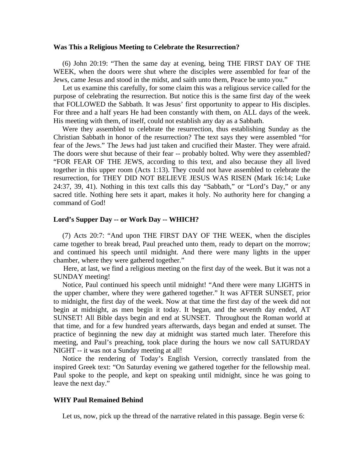# **Was This a Religious Meeting to Celebrate the Resurrection?**

 (6) John 20:19: "Then the same day at evening, being THE FIRST DAY OF THE WEEK, when the doors were shut where the disciples were assembled for fear of the Jews, came Jesus and stood in the midst, and saith unto them, Peace be unto you."

 Let us examine this carefully, for some claim this was a religious service called for the purpose of celebrating the resurrection. But notice this is the same first day of the week that FOLLOWED the Sabbath. It was Jesus' first opportunity to appear to His disciples. For three and a half years He had been constantly with them, on ALL days of the week. His meeting with them, of itself, could not establish any day as a Sabbath.

 Were they assembled to celebrate the resurrection, thus establishing Sunday as the Christian Sabbath in honor of the resurrection? The text says they were assembled "for fear of the Jews." The Jews had just taken and crucified their Master. They were afraid. The doors were shut because of their fear -- probably bolted. Why were they assembled? "FOR FEAR OF THE JEWS, according to this text, and also because they all lived together in this upper room (Acts 1:13). They could not have assembled to celebrate the resurrection, for THEY DID NOT BELIEVE JESUS WAS RISEN (Mark 16:14; Luke 24:37, 39, 41). Nothing in this text calls this day "Sabbath," or "Lord's Day," or any sacred title. Nothing here sets it apart, makes it holy. No authority here for changing a command of God!

# **Lord's Supper Day -- or Work Day -- WHICH?**

 (7) Acts 20:7: "And upon THE FIRST DAY OF THE WEEK, when the disciples came together to break bread, Paul preached unto them, ready to depart on the morrow; and continued his speech until midnight. And there were many lights in the upper chamber, where they were gathered together."

 Here, at last, we find a religious meeting on the first day of the week. But it was not a SUNDAY meeting!

 Notice, Paul continued his speech until midnight! "And there were many LIGHTS in the upper chamber, where they were gathered together." It was AFTER SUNSET, prior to midnight, the first day of the week. Now at that time the first day of the week did not begin at midnight, as men begin it today. It began, and the seventh day ended, AT SUNSET! All Bible days begin and end at SUNSET. Throughout the Roman world at that time, and for a few hundred years afterwards, days began and ended at sunset. The practice of beginning the new day at midnight was started much later. Therefore this meeting, and Paul's preaching, took place during the hours we now call SATURDAY NIGHT -- it was not a Sunday meeting at all!

 Notice the rendering of Today's English Version, correctly translated from the inspired Greek text: "On Saturday evening we gathered together for the fellowship meal. Paul spoke to the people, and kept on speaking until midnight, since he was going to leave the next day."

#### **WHY Paul Remained Behind**

Let us, now, pick up the thread of the narrative related in this passage. Begin verse 6: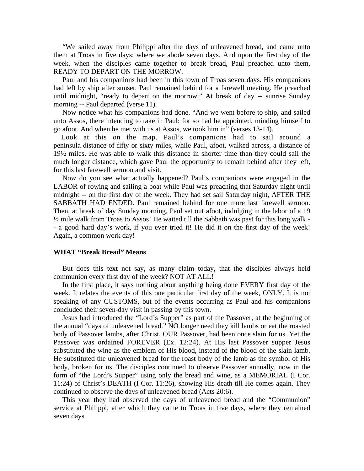"We sailed away from Philippi after the days of unleavened bread, and came unto them at Troas in five days; where we abode seven days. And upon the first day of the week, when the disciples came together to break bread, Paul preached unto them, READY TO DEPART ON THE MORROW.

 Paul and his companions had been in this town of Troas seven days. His companions had left by ship after sunset. Paul remained behind for a farewell meeting. He preached until midnight, "ready to depart on the morrow." At break of day -- sunrise Sunday morning -- Paul departed (verse 11).

 Now notice what his companions had done. "And we went before to ship, and sailed unto Assos, there intending to take in Paul: for so had he appointed, minding himself to go afoot. And when he met with us at Assos, we took him in" (verses 13-14).

 Look at this on the map. Paul's companions had to sail around a peninsula distance of fifty or sixty miles, while Paul, afoot, walked across, a distance of 19½ miles. He was able to walk this distance in shorter time than they could sail the much longer distance, which gave Paul the opportunity to remain behind after they left, for this last farewell sermon and visit.

 Now do you see what actually happened? Paul's companions were engaged in the LABOR of rowing and sailing a boat while Paul was preaching that Saturday night until midnight -- on the first day of the week. They had set sail Saturday night, AFTER THE SABBATH HAD ENDED. Paul remained behind for one more last farewell sermon. Then, at break of day Sunday morning, Paul set out afoot, indulging in the labor of a 19 ½ mile walk from Troas to Assos! He waited till the Sabbath was past for this long walk - - a good hard day's work, if you ever tried it! He did it on the first day of the week! Again, a common work day!

# **WHAT "Break Bread" Means**

 But does this text not say, as many claim today, that the disciples always held communion every first day of the week? NOT AT ALL!

 In the first place, it says nothing about anything being done EVERY first day of the week. It relates the events of this one particular first day of the week, ONLY. It is not speaking of any CUSTOMS, but of the events occurring as Paul and his companions concluded their seven-day visit in passing by this town.

 Jesus had introduced the "Lord's Supper" as part of the Passover, at the beginning of the annual "days of unleavened bread." NO longer need they kill lambs or eat the roasted body of Passover lambs, after Christ, OUR Passover, had been once slain for us. Yet the Passover was ordained FOREVER (Ex. 12:24). At His last Passover supper Jesus substituted the wine as the emblem of His blood, instead of the blood of the slain lamb. He substituted the unleavened bread for the roast body of the lamb as the symbol of His body, broken for us. The disciples continued to observe Passover annually, now in the form of "the Lord's Supper" using only the bread and wine, as a MEMORIAL (I Cor. 11:24) of Christ's DEATH (I Cor. 11:26), showing His death till He comes again. They continued to observe the days of unleavened bread (Acts 20:6).

 This year they had observed the days of unleavened bread and the "Communion" service at Philippi, after which they came to Troas in five days, where they remained seven days.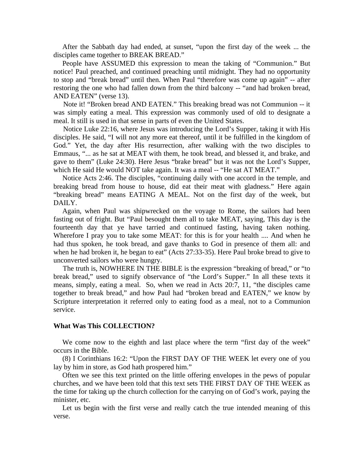After the Sabbath day had ended, at sunset, "upon the first day of the week ... the disciples came together to BREAK BREAD."

 People have ASSUMED this expression to mean the taking of "Communion." But notice! Paul preached, and continued preaching until midnight. They had no opportunity to stop and "break bread" until then. When Paul "therefore was come up again" -- after restoring the one who had fallen down from the third balcony -- "and had broken bread, AND EATEN" (verse 13).

 Note it! "Broken bread AND EATEN." This breaking bread was not Communion -- it was simply eating a meal. This expression was commonly used of old to designate a meal. It still is used in that sense in parts of even the United States.

 Notice Luke 22:16, where Jesus was introducing the Lord's Supper, taking it with His disciples. He said, "I will not any more eat thereof, until it be fulfilled in the kingdom of God." Yet, the day after His resurrection, after walking with the two disciples to Emmaus, "... as he sat at MEAT with them, he took bread, and blessed it, and brake, and gave to them" (Luke 24:30). Here Jesus "brake bread" but it was not the Lord's Supper, which He said He would NOT take again. It was a meal -- "He sat AT MEAT."

 Notice Acts 2:46. The disciples, "continuing daily with one accord in the temple, and breaking bread from house to house, did eat their meat with gladness." Here again "breaking bread" means EATING A MEAL. Not on the first day of the week, but DAILY.

 Again, when Paul was shipwrecked on the voyage to Rome, the sailors had been fasting out of fright. But "Paul besought them all to take MEAT, saying, This day is the fourteenth day that ye have tarried and continued fasting, having taken nothing. Wherefore I pray you to take some MEAT: for this is for your health .... And when he had thus spoken, he took bread, and gave thanks to God in presence of them all: and when he had broken it, he began to eat" (Acts 27:33-35). Here Paul broke bread to give to unconverted sailors who were hungry.

 The truth is, NOWHERE IN THE BIBLE is the expression "breaking of bread," or "to break bread," used to signify observance of "the Lord's Supper." In all these texts it means, simply, eating a meal. So, when we read in Acts 20:7, 11, "the disciples came together to break bread," and how Paul had "broken bread and EATEN," we know by Scripture interpretation it referred only to eating food as a meal, not to a Communion service.

# **What Was This COLLECTION?**

 We come now to the eighth and last place where the term "first day of the week" occurs in the Bible.

 (8) I Corinthians 16:2: "Upon the FIRST DAY OF THE WEEK let every one of you lay by him in store, as God hath prospered him."

 Often we see this text printed on the little offering envelopes in the pews of popular churches, and we have been told that this text sets THE FIRST DAY OF THE WEEK as the time for taking up the church collection for the carrying on of God's work, paying the minister, etc.

 Let us begin with the first verse and really catch the true intended meaning of this verse.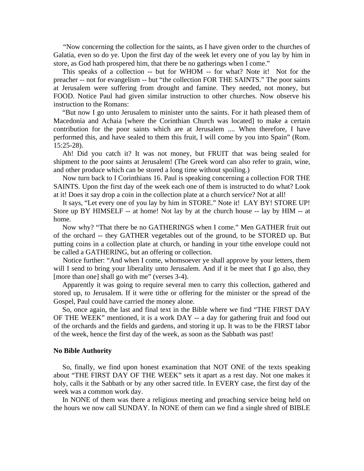"Now concerning the collection for the saints, as I have given order to the churches of Galatia, even so do ye. Upon the first day of the week let every one of you lay by him in store, as God hath prospered him, that there be no gatherings when I come."

 This speaks of a collection -- but for WHOM -- for what? Note it! Not for the preacher -- not for evangelism -- but "the collection FOR THE SAINTS." The poor saints at Jerusalem were suffering from drought and famine. They needed, not money, but FOOD. Notice Paul had given similar instruction to other churches. Now observe his instruction to the Romans:

 "But now I go unto Jerusalem to minister unto the saints. For it hath pleased them of Macedonia and Achaia [where the Corinthian Church was located] to make a certain contribution for the poor saints which are at Jerusalem .... When therefore, I have performed this, and have sealed to them this fruit, I will come by you into Spain" (Rom. 15:25-28).

 Ah! Did you catch it? It was not money, but FRUIT that was being sealed for shipment to the poor saints at Jerusalem! (The Greek word can also refer to grain, wine, and other produce which can be stored a long time without spoiling.)

 Now turn back to I Corinthians 16. Paul is speaking concerning a collection FOR THE SAINTS. Upon the first day of the week each one of them is instructed to do what? Look at it! Does it say drop a coin in the collection plate at a church service? Not at all!

 It says, "Let every one of you lay by him in STORE." Note it! LAY BY! STORE UP! Store up BY HIMSELF -- at home! Not lay by at the church house -- lay by HIM -- at home.

 Now why? "That there be no GATHERINGS when I come." Men GATHER fruit out of the orchard -- they GATHER vegetables out of the ground, to be STORED up. But putting coins in a collection plate at church, or handing in your tithe envelope could not be called a GATHERING, but an offering or collection.

 Notice further: "And when I come, whomsoever ye shall approve by your letters, them will I send to bring your liberality unto Jerusalem. And if it be meet that I go also, they [more than one] shall go with me" (verses 3-4).

 Apparently it was going to require several men to carry this collection, gathered and stored up, to Jerusalem. If it were tithe or offering for the minister or the spread of the Gospel, Paul could have carried the money alone.

 So, once again, the last and final text in the Bible where we find "THE FIRST DAY OF THE WEEK" mentioned, it is a work DAY -- a day for gathering fruit and food out of the orchards and the fields and gardens, and storing it up. It was to be the FIRST labor of the week, hence the first day of the week, as soon as the Sabbath was past!

#### **No Bible Authority**

 So, finally, we find upon honest examination that NOT ONE of the texts speaking about "THE FIRST DAY OF THE WEEK" sets it apart as a rest day. Not one makes it holy, calls it the Sabbath or by any other sacred title. In EVERY case, the first day of the week was a common work day.

 In NONE of them was there a religious meeting and preaching service being held on the hours we now call SUNDAY. In NONE of them can we find a single shred of BIBLE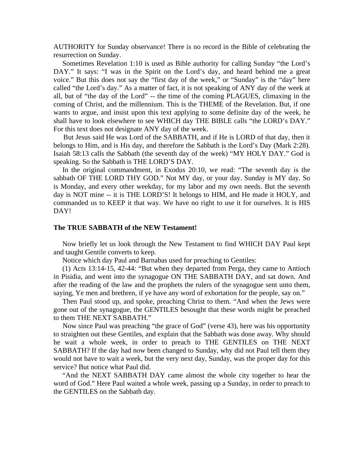AUTHORITY for Sunday observance! There is no record in the Bible of celebrating the resurrection on Sunday.

 Sometimes Revelation 1:10 is used as Bible authority for calling Sunday "the Lord's DAY." It says: "I was in the Spirit on the Lord's day, and heard behind me a great voice." But this does not say the "first day of the week," or "Sunday" is the "day" here called "the Lord's day." As a matter of fact, it is not speaking of ANY day of the week at all, but of "the day of the Lord" -- the time of the coming PLAGUES, climaxing in the coming of Christ, and the millennium. This is the THEME of the Revelation. But, if one wants to argue, and insist upon this text applying to some definite day of the week, he shall have to look elsewhere to see WHICH day THE BIBLE calls "the LORD's DAY." For this text does not designate ANY day of the week.

 But Jesus said He was Lord of the SABBATH, and if He is LORD of that day, then it belongs to Him, and is His day, and therefore the Sabbath is the Lord's Day (Mark 2:28). Isaiah 58:13 calls the Sabbath (the seventh day of the week) "MY HOLY DAY." God is speaking. So the Sabbath is THE LORD'S DAY.

 In the original commandment, in Exodus 20:10, we read: "The seventh day is the sabbath OF THE LORD THY GOD." Not MY day, or your day. Sunday is MY day. So is Monday, and every other weekday, for my labor and my own needs. But the seventh day is NOT mine -- it is THE LORD'S! It belongs to HIM, and He made it HOLY, and commanded us to KEEP it that way. We have no right to use it for ourselves. It is HIS DAY!

#### **The TRUE SABBATH of the NEW Testament!**

 Now briefly let us look through the New Testament to find WHICH DAY Paul kept and taught Gentile converts to keep.

Notice which day Paul and Barnabas used for preaching to Gentiles:

 (1) Acts 13:14-15, 42-44: "But when they departed from Perga, they came to Antioch in Pisidia, and went into the synagogue ON THE SABBATH DAY, and sat down. And after the reading of the law and the prophets the rulers of the synagogue sent unto them, saying, Ye men and brethren, if ye have any word of exhortation for the people, say on."

 Then Paul stood up, and spoke, preaching Christ to them. "And when the Jews were gone out of the synagogue, the GENTILES besought that these words might be preached to them THE NEXT SABBATH."

 Now since Paul was preaching "the grace of God" (verse 43), here was his opportunity to straighten out these Gentiles, and explain that the Sabbath was done away. Why should he wait a whole week, in order to preach to THE GENTILES on THE NEXT SABBATH? If the day had now been changed to Sunday, why did not Paul tell them they would not have to wait a week, but the very next day, Sunday, was the proper day for this service? But notice what Paul did.

 "And the NEXT SABBATH DAY came almost the whole city together to hear the word of God." Here Paul waited a whole week, passing up a Sunday, in order to preach to the GENTILES on the Sabbath day.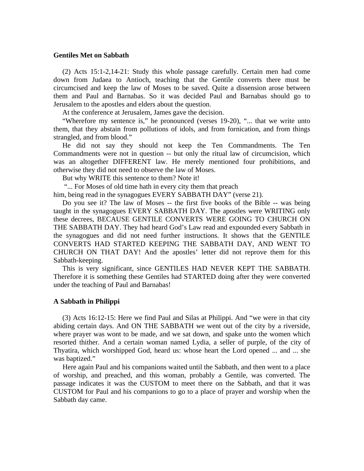# **Gentiles Met on Sabbath**

 (2) Acts 15:1-2,14-21: Study this whole passage carefully. Certain men had come down from Judaea to Antioch, teaching that the Gentile converts there must be circumcised and keep the law of Moses to be saved. Quite a dissension arose between them and Paul and Barnabas. So it was decided Paul and Barnabas should go to Jerusalem to the apostles and elders about the question.

At the conference at Jerusalem, James gave the decision.

 "Wherefore my sentence is," he pronounced (verses 19-20), "... that we write unto them, that they abstain from pollutions of idols, and from fornication, and from things strangled, and from blood."

 He did not say they should not keep the Ten Commandments. The Ten Commandments were not in question -- but only the ritual law of circumcision, which was an altogether DIFFERENT law. He merely mentioned four prohibitions, and otherwise they did not need to observe the law of Moses.

But why WRITE this sentence to them? Note it!

"... For Moses of old time hath in every city them that preach

him, being read in the synagogues EVERY SABBATH DAY" (verse 21).

 Do you see it? The law of Moses -- the first five books of the Bible -- was being taught in the synagogues EVERY SABBATH DAY. The apostles were WRITING only these decrees, BECAUSE GENTILE CONVERTS WERE GOING TO CHURCH ON THE SABBATH DAY. They had heard God's Law read and expounded every Sabbath in the synagogues and did not need further instructions. It shows that the GENTILE CONVERTS HAD STARTED KEEPING THE SABBATH DAY, AND WENT TO CHURCH ON THAT DAY! And the apostles' letter did not reprove them for this Sabbath-keeping.

 This is very significant, since GENTILES HAD NEVER KEPT THE SABBATH. Therefore it is something these Gentiles had STARTED doing after they were converted under the teaching of Paul and Barnabas!

# **A Sabbath in Philippi**

 (3) Acts 16:12-15: Here we find Paul and Silas at Philippi. And "we were in that city abiding certain days. And ON THE SABBATH we went out of the city by a riverside, where prayer was wont to be made, and we sat down, and spake unto the women which resorted thither. And a certain woman named Lydia, a seller of purple, of the city of Thyatira, which worshipped God, heard us: whose heart the Lord opened ... and ... she was baptized."

 Here again Paul and his companions waited until the Sabbath, and then went to a place of worship, and preached, and this woman, probably a Gentile, was converted. The passage indicates it was the CUSTOM to meet there on the Sabbath, and that it was CUSTOM for Paul and his companions to go to a place of prayer and worship when the Sabbath day came.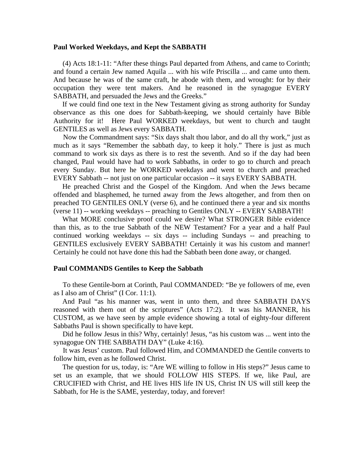#### **Paul Worked Weekdays, and Kept the SABBATH**

 (4) Acts 18:1-11: "After these things Paul departed from Athens, and came to Corinth; and found a certain Jew named Aquila ... with his wife Priscilla ... and came unto them. And because he was of the same craft, he abode with them, and wrought: for by their occupation they were tent makers. And he reasoned in the synagogue EVERY SABBATH, and persuaded the Jews and the Greeks."

 If we could find one text in the New Testament giving as strong authority for Sunday observance as this one does for Sabbath-keeping, we should certainly have Bible Authority for it! Here Paul WORKED weekdays, but went to church and taught GENTILES as well as Jews every SABBATH.

 Now the Commandment says: "Six days shalt thou labor, and do all thy work," just as much as it says "Remember the sabbath day, to keep it holy." There is just as much command to work six days as there is to rest the seventh. And so if the day had been changed, Paul would have had to work Sabbaths, in order to go to church and preach every Sunday. But here he WORKED weekdays and went to church and preached EVERY Sabbath -- not just on one particular occasion -- it says EVERY SABBATH.

 He preached Christ and the Gospel of the Kingdom. And when the Jews became offended and blasphemed, he turned away from the Jews altogether, and from then on preached TO GENTILES ONLY (verse 6), and he continued there a year and six months (verse 11) -- working weekdays -- preaching to Gentiles ONLY -- EVERY SABBATH!

 What MORE conclusive proof could we desire? What STRONGER Bible evidence than this, as to the true Sabbath of the NEW Testament? For a year and a half Paul continued working weekdays -- six days -- including Sundays -- and preaching to GENTILES exclusively EVERY SABBATH! Certainly it was his custom and manner! Certainly he could not have done this had the Sabbath been done away, or changed.

# **Paul COMMANDS Gentiles to Keep the Sabbath**

 To these Gentile-born at Corinth, Paul COMMANDED: "Be ye followers of me, even as I also am of Christ" (I Cor. 11:1).

 And Paul "as his manner was, went in unto them, and three SABBATH DAYS reasoned with them out of the scriptures" (Acts 17:2). It was his MANNER, his CUSTOM, as we have seen by ample evidence showing a total of eighty-four different Sabbaths Paul is shown specifically to have kept.

 Did he follow Jesus in this? Why, certainly! Jesus, "as his custom was ... went into the synagogue ON THE SABBATH DAY" (Luke 4:16).

 It was Jesus' custom. Paul followed Him, and COMMANDED the Gentile converts to follow him, even as he followed Christ.

 The question for us, today, is: "Are WE willing to follow in His steps?" Jesus came to set us an example, that we should FOLLOW HIS STEPS. If we, like Paul, are CRUCIFIED with Christ, and HE lives HIS life IN US, Christ IN US will still keep the Sabbath, for He is the SAME, yesterday, today, and forever!